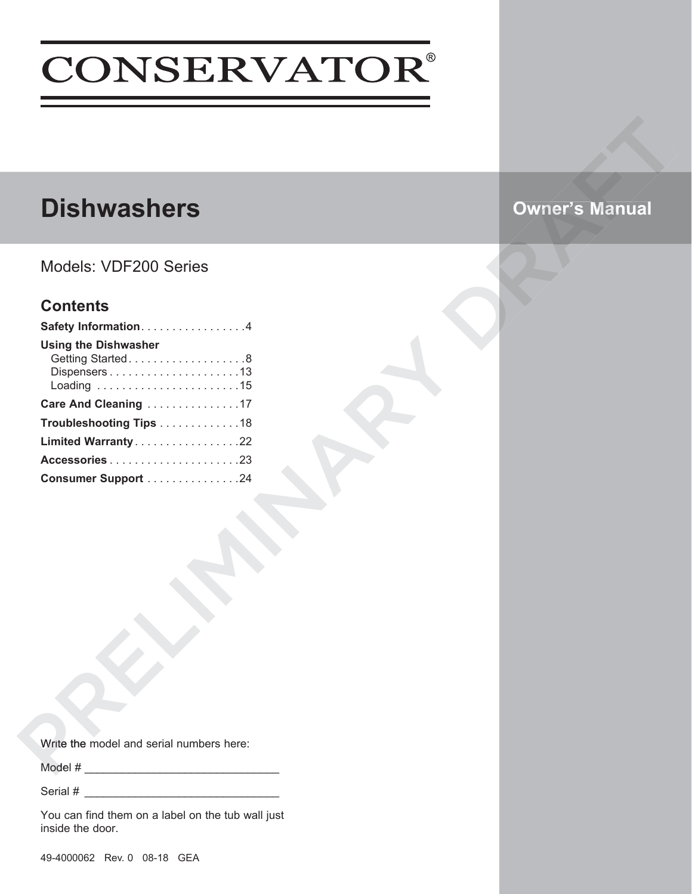# **CONSERVATOR®**

# **Dishwashers**

Models: VDF200 Series

## **Contents**

| Safety Information. 4                           |  |
|-------------------------------------------------|--|
| <b>Using the Dishwasher</b><br>Getting Started8 |  |
| Care And Cleaning 17                            |  |
| Troubleshooting Tips 18                         |  |
| Limited Warranty22                              |  |
| Accessories23                                   |  |
| Consumer Support 24                             |  |
|                                                 |  |
|                                                 |  |
|                                                 |  |
|                                                 |  |
|                                                 |  |
| Write the model and serial numbers here:        |  |
| Model #                                         |  |

Serial #

You can find them on a label on the tub wall just inside the door.

Owner's Manual<br>Drama<br>Drama<br>Drama Manual

**Owner's Manual**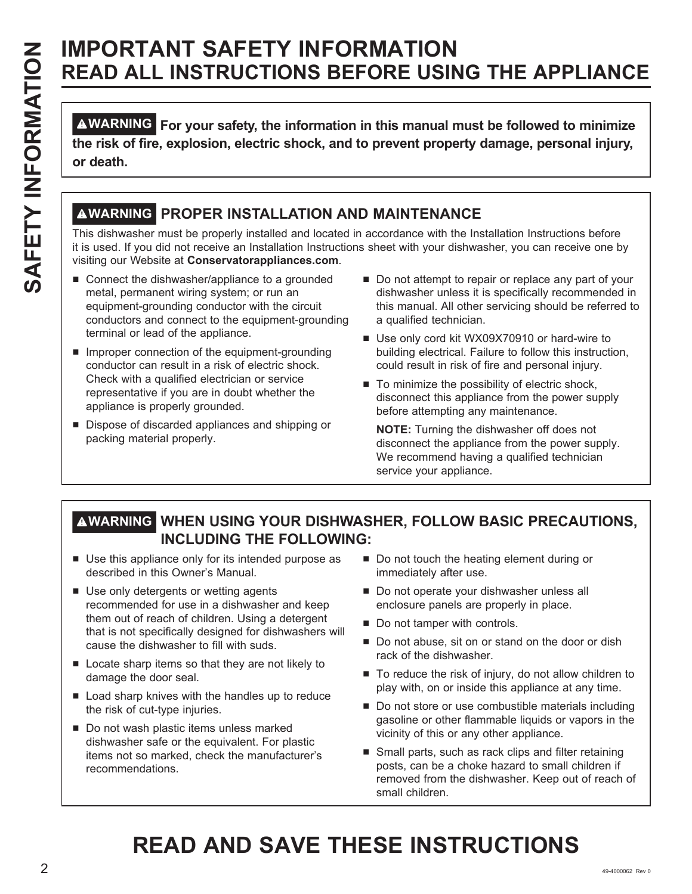## **IMPORTANT SAFETY INFORMATION READ ALL INSTRUCTIONS BEFORE USING THE APPLIANCE**

**WARNING For your safety, the information in this manual must be followed to minimize the risk of fire, explosion, electric shock, and to prevent property damage, personal injury, or death.**

## **WARNING PROPER INSTALLATION AND MAINTENANCE**

This dishwasher must be properly installed and located in accordance with the Installation Instructions before it is used. If you did not receive an Installation Instructions sheet with your dishwasher, you can receive one by visiting our Website at **Conservatorappliances.com**.

- $\blacksquare$  Connect the dishwasher/appliance to a grounded metal, permanent wiring system; or run an equipment-grounding conductor with the circuit conductors and connect to the equipment-grounding terminal or lead of the appliance.
- $\blacksquare$  Improper connection of the equipment-grounding conductor can result in a risk of electric shock. Check with a qualified electrician or service representative if you are in doubt whether the appliance is properly grounded.
- $\blacksquare$  Dispose of discarded appliances and shipping or packing material properly.
- Do not attempt to repair or replace any part of your dishwasher unless it is specifically recommended in this manual. All other servicing should be referred to a qualified technician.
- Use only cord kit WX09X70910 or hard-wire to building electrical. Failure to follow this instruction, could result in risk of fire and personal injury.
- $\blacksquare$  To minimize the possibility of electric shock, disconnect this appliance from the power supply before attempting any maintenance.

 **NOTE:** Turning the dishwasher off does not disconnect the appliance from the power supply. We recommend having a qualified technician service your appliance.

## **WARNING WHEN USING YOUR DISHWASHER, FOLLOW BASIC PRECAUTIONS, INCLUDING THE FOLLOWING:**

- $\blacksquare$  Use this appliance only for its intended purpose as described in this Owner's Manual.
- $\blacksquare$  Use only detergents or wetting agents recommended for use in a dishwasher and keep them out of reach of children. Using a detergent that is not specifically designed for dishwashers will cause the dishwasher to fill with suds.
- $\blacksquare$  Locate sharp items so that they are not likely to damage the door seal.
- $\blacksquare$  Load sharp knives with the handles up to reduce the risk of cut-type injuries.
- Do not wash plastic items unless marked dishwasher safe or the equivalent. For plastic items not so marked, check the manufacturer's recommendations.
- Do not touch the heating element during or immediately after use.
- Do not operate your dishwasher unless all enclosure panels are properly in place.
- $\blacksquare$  Do not tamper with controls.
- $\blacksquare$  Do not abuse, sit on or stand on the door or dish rack of the dishwasher.
- To reduce the risk of injury, do not allow children to play with, on or inside this appliance at any time.
- $\blacksquare$  Do not store or use combustible materials including gasoline or other flammable liquids or vapors in the vicinity of this or any other appliance.
- $\blacksquare$  Small parts, such as rack clips and filter retaining posts, can be a choke hazard to small children if removed from the dishwasher. Keep out of reach of small children.

# **READ AND SAVE THESE INSTRUCTIONS**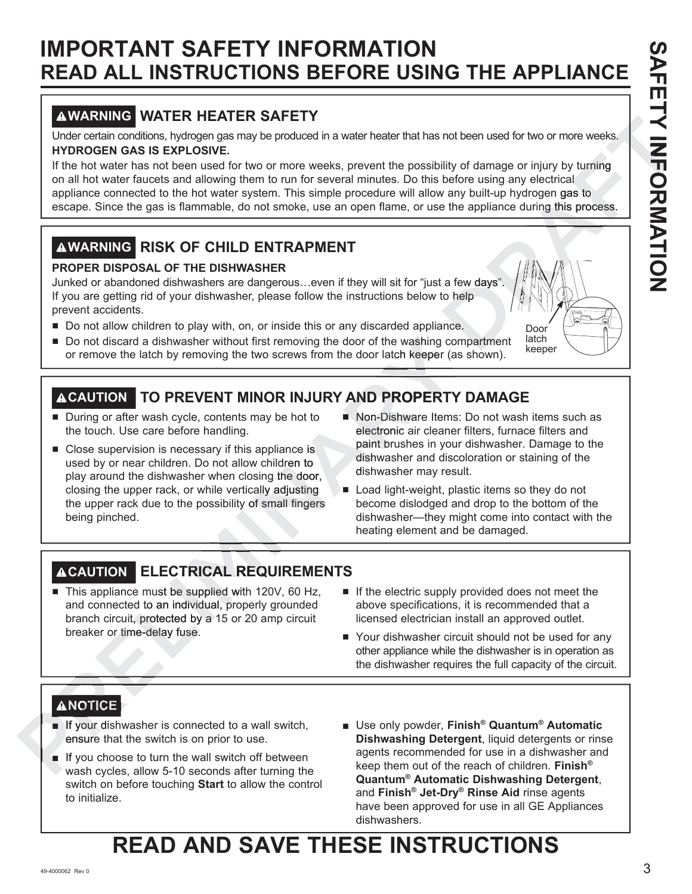# **IMPORTANT SAFETY INFORMATION READ ALL INSTRUCTIONS BEFORE USING THE APPLIANCE**

## **WARNING WATER HEATER SAFETY**

Under certain conditions, hydrogen gas may be produced in a water heater that has not been used for two or more weeks. **HYDROGEN GAS IS EXPLOSIVE.**

If the hot water has not been used for two or more weeks, prevent the possibility of damage or injury by turning on all hot water faucets and allowing them to run for several minutes. Do this before using any electrical appliance connected to the hot water system. This simple procedure will allow any built-up hydrogen gas to escape. Since the gas is flammable, do not smoke, use an open flame, or use the appliance during this process. not been used for two or more weeks.<br>
lility of damage or injury by turning<br>
before using any electrical<br>
v any built-up hydrogen gas to<br>
e the appliance during this process.<br>
a few days".<br>
a few days".<br>
(b) help<br>
nrce.<br>
D re using any electrical<br>
y built-up hydrogen gas<br>
appliance during this<br>
w days". AFT **Y INFO** drogen gas to  $\frac{$ <br> $\frac{1}{2}$ <br> $\frac{1}{2}$ <br> $\frac{1}{2}$ <br> $\frac{1}{2}$ France the appliance during this proce<br> **Example 18 and 18 are during the space**<br>
a few days".<br>
a few days".<br>
a few days".<br>
Obor<br>
compartment latch<br>
a latch<br>
a latch<br>
a latch<br>
a latch<br>
a latch<br>
a latch<br>
a latch<br>
a latch

## **WARNING RISK OF CHILD ENTRAPMENT**

## **PROPER DISPOSAL OF THE DISHWASHER**

Junked or abandoned dishwashers are dangerous…even if they will sit for "just a few days". If you are getting rid of your dishwasher, please follow the instructions below to help prevent accidents.

- Do not allow children to play with, on, or inside this or any discarded appliance.
- $\blacksquare$  Do not allow children to play with, on, or inside this or any discarded appliance.<br> $\blacksquare$  Do not discard a dishwasher without first removing the door of the washing compartment or remove the latch by removing the two screws from the door latch keeper (as shown). the washing condition the keeper (and the separation of the separation of the separation of the separation of the separation of the separation of the separation of the separation of the separation of the separation of the

## **TO PREVENT MINOR INJURY AND PROPERTY DAMAGE CAUTION**

- $\blacksquare$  During or after wash cycle, contents may be hot to the touch. Use care before handling.
- Close supervision is necessary if this appliance is used by or near children. Do not allow children to play around the dishwasher when closing the door, closing the upper rack, or while vertically adjusting the upper rack due to the possibility of small fingers being pinched. ■ Do not discard a disthwasher without first removing the door of the washing compartment latch<br>or remove the latch by removing the two screws from the door latch keeper (as shown). We<br>eper<br> **ACAUTION TO PREVENT MINOR IN** ally be hot to<br>
g.<br>
is appliance is<br>
low children to<br>
closing the door,<br>
tically adjusting<br>
y of small fingers<br>
low of small fingers<br>
local light-we<br>
y of small fingers Sher without first removing the door of the washing component and the door latch keeper (a<br>
EVENT MINOR INJURY AND PROPERTY<br>
Le, contents may be hot to<br>  $\blacksquare$  Non-Dishware Items<br>
ore handling.<br>
Lessary if this appliance i
	- Non-Dishware Items: Do not wash items such as electronic air cleaner filters, furnace filters and electr paint brushes in your dishwasher. Damage to the dishwasher and discoloration or staining of the dishw dishwasher may result. dis

Door latch<br>keeper

■ Load light-weight, plastic items so they do not become dislodged and drop to the bottom of the dishwasher—they might come into contact with the heating element and be damaged.

## **ELECTRICAL REQUIREMENTS CAUTION CTRICAL REQ**

- This appliance must be supplied with 120V, 60 Hz, and connected to an individual, properly grounded branch circuit, protected by a 15 or 20 amp circuit breaker or time-delay fuse. being pinched.<br>
<br>
ACAUTION ELECTRICAL REQUI<br>
■ This appliance must be supplied with 120V<br>
and connected to an individual, properly granch circuit, protected by a 15 or 20 amp<br>
breaker or time-delay fuse.<br>
<br>
<br>
<br>
<br>
<br>
<br>
<br>
<br>
- $\blacksquare$  If the electric supply provided does not meet the above specifications, it is recommended that a licensed electrician install an approved outlet.
- Your dishwasher circuit should not be used for any other appliance while the dishwasher is in operation as the dishwasher requires the full capacity of the circuit.

## **ANOTICE**

- **If your dishwasher is connected to a wall switch,** ensure that the switch is on prior to use. **NOTICE**<br>If your dishwa<br>ensure that tl
- If you choose to turn the wall switch off between wash cycles, allow 5-10 seconds after turning the switch on before touching **Start** to allow the control to initialize.
- Use only powder, Finish<sup>®</sup> Quantum<sup>®</sup> Automatic **Dishwashing Detergent**, liquid detergents or rinse agents recommended for use in a dishwasher and keep them out of the reach of children. **Finish® Quantum® Automatic Dishwashing Detergent**, and **Finish® Jet-Dry® Rinse Aid** rinse agents have been approved for use in all GE Appliances dishwashers.

# **READ AND SAVE THESE INSTRUCTIONS**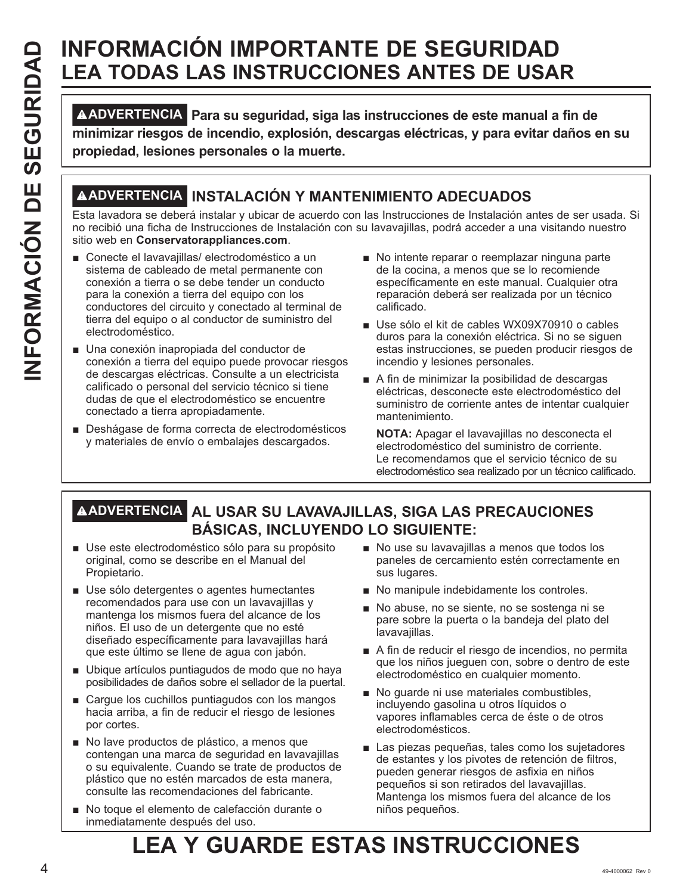# **INFORMACIÓN IMPORTANTE DE SEGURIDAD LEA TODAS LAS INSTRUCCIONES ANTES DE USAR**

**EVALUATION CONTENT DE SEGURIDAD CONTENT DE SEURIDAD DE SEURIDAD DE SEURIDAD DE SEURIDAD DE SEURIDAD DE SEURIDAD DE SEURIDAD DE SEURIDAD DE SEURIDAD DE SEURIDAD DE SEURIDAD DE SEURIDAD DE SEURIDAD DE SEURIDAD DE SEURIDAD D ADVERTENCIA Para su seguridad, siga las instrucciones de este manual a fin de minimizar riesgos de incendio, explosión, descargas eléctricas, y para evitar daños en su propiedad, lesiones personales o la muerte.**

## **ADVERTENCIA INSTALACIÓN Y MANTENIMIENTO ADECUADOS**

Esta lavadora se deberá instalar y ubicar de acuerdo con las Instrucciones de Instalación antes de ser usada. Si no recibió una ficha de Instrucciones de Instalación con su lavavajillas, podrá acceder a una visitando nuestro sitio web en **Conservatorappliances.com**.

- Conecte el lavavajillas/ electrodoméstico a un sistema de cableado de metal permanente con conexión a tierra o se debe tender un conducto para la conexión a tierra del equipo con los conductores del circuito y conectado al terminal de tierra del equipo o al conductor de suministro del electrodoméstico.
- Una conexión inapropiada del conductor de conexión a tierra del equipo puede provocar riesgos de descargas eléctricas. Consulte a un electricista calificado o personal del servicio técnico si tiene dudas de que el electrodoméstico se encuentre conectado a tierra apropiadamente.
- Deshágase de forma correcta de electrodomésticos y materiales de envío o embalajes descargados.
- No intente reparar o reemplazar ninguna parte de la cocina, a menos que se lo recomiende específicamente en este manual. Cualquier otra reparación deberá ser realizada por un técnico calificado.
- Use sólo el kit de cables WX09X70910 o cables duros para la conexión eléctrica. Si no se siguen estas instrucciones, se pueden producir riesgos de incendio y lesiones personales.
- A fin de minimizar la posibilidad de descargas eléctricas, desconecte este electrodoméstico del suministro de corriente antes de intentar cualquier mantenimiento.

 **NOTA:** Apagar el lavavajillas no desconecta el electrodoméstico del suministro de corriente. Le recomendamos que el servicio técnico de su electrodoméstico sea realizado por un técnico calificado.

## **ADVERTENCIA AL USAR SU LAVAVAJILLAS, SIGA LAS PRECAUCIONES BÁSICAS, INCLUYENDO LO SIGUIENTE:**

- Use este electrodoméstico sólo para su propósito original, como se describe en el Manual del Propietario.
- Use sólo detergentes o agentes humectantes recomendados para use con un lavavajillas y mantenga los mismos fuera del alcance de los niños. El uso de un detergente que no esté diseñado específicamente para lavavajillas hará que este último se llene de agua con jabón.
- Ubique artículos puntiagudos de modo que no haya posibilidades de daños sobre el sellador de la puertal.
- $\blacksquare$  Cargue los cuchillos puntiagudos con los mangos hacia arriba, a fin de reducir el riesgo de lesiones por cortes.
- No lave productos de plástico, a menos que contengan una marca de seguridad en lavavajillas o su equivalente. Cuando se trate de productos de plástico que no estén marcados de esta manera, consulte las recomendaciones del fabricante.
- No toque el elemento de calefacción durante o inmediatamente después del uso.
- No use su lavavajillas a menos que todos los paneles de cercamiento estén correctamente en sus lugares.
- No manipule indebidamente los controles.
- No abuse, no se siente, no se sostenga ni se pare sobre la puerta o la bandeja del plato del lavavajillas.
- A fin de reducir el riesgo de incendios, no permita que los niños jueguen con, sobre o dentro de este electrodoméstico en cualquier momento.
- No guarde ni use materiales combustibles, incluyendo gasolina u otros líquidos o vapores inflamables cerca de éste o de otros electrodomésticos.
- Las piezas pequeñas, tales como los sujetadores de estantes y los pivotes de retención de filtros, pueden generar riesgos de asfixia en niños pequeños si son retirados del lavavajillas. Mantenga los mismos fuera del alcance de los niños pequeños.

# **LEA Y GUARDE ESTAS INSTRUCCIONES**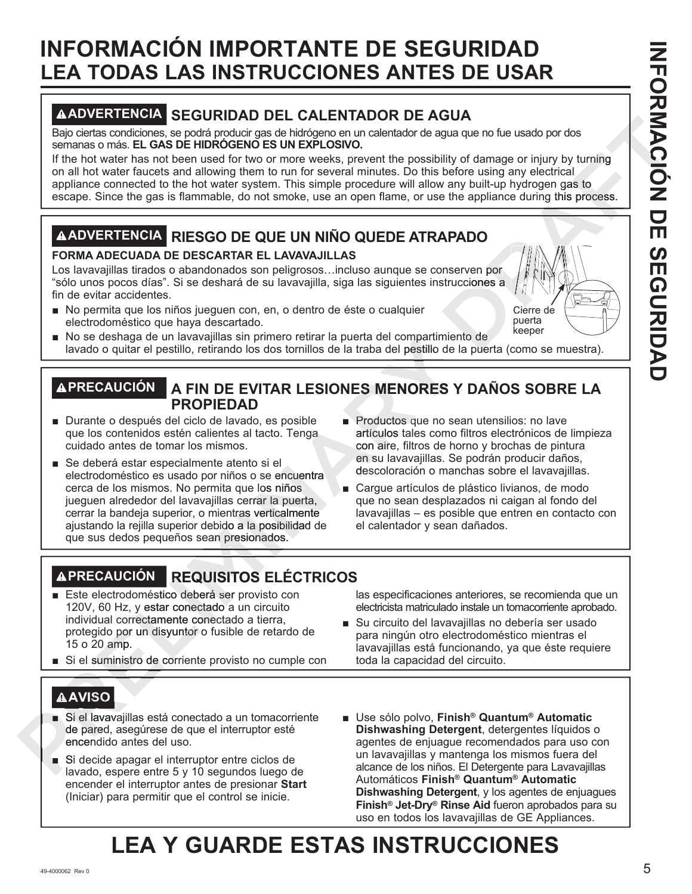# **INFORMACIÓN IMPORTANTE DE SEGURIDAD LEA TODAS LAS INSTRUCCIONES ANTES DE USAR**

## **ADVERTENCIA SEGURIDAD DEL CALENTADOR DE AGUA**

Bajo ciertas condiciones, se podrá producir gas de hidrógeno en un calentador de agua que no fue usado por dos semanas o más. **EL GAS DE HIDRÓGENO ES UN EXPLOSIVO.**

If the hot water has not been used for two or more weeks, prevent the possibility of damage or injury by turning on all hot water faucets and allowing them to run for several minutes. Do this before using any electrical appliance connected to the hot water system. This simple procedure will allow any built-up hydrogen gas to escape. Since the gas is flammable, do not smoke, use an open flame, or use the appliance during this process. A<br>
que no fue usado por dos<br>
of damage or injury by turning<br>
re using any electrical<br>
v built-up hydrogen gas to<br>
appliance during this process.<br>
<br>
UDO<br>
ven por<br>
ciones a

## **ADVERTENCIA RIESGO DE QUE UN NIÑO QUEDE ATRAPADO**

## **FORMA ADECUADA DE DESCARTAR EL LAVAVAJILLAS**

Los lavavajillas tirados o abandonados son peligrosos…incluso aunque se conserven por "sólo unos pocos días". Si se deshará de su lavavajilla, siga las siguientes instrucciones a fin de evitar accidentes.

No permita que los niños jueguen con, en, o dentro de éste o cualquier electrodoméstico que haya descartado.



 $\blacksquare$  No se deshaga de un lavavajillas sin primero retirar la puerta del compartimiento de lavado o quitar el pestillo, retirando los dos tornillos de la traba del pestillo de la puerta (como se muestra).

# **PRECAUCIÓN A FIN DE EVITAR LESIONES MENORES Y DAÑOS SOBRE LA PROPIEDAD** el compartimier<br>del pestillo de<br>**MENORES**

- Durante o después del ciclo de lavado, es posible que los contenidos estén calientes al tacto. Tenga cuidado antes de tomar los mismos.
- Se deberá estar especialmente atento si el electrodoméstico es usado por niños o se encuentra cerca de los mismos. No permita que los niños jueguen alrededor del lavavajillas cerrar la puerta, cerrar la bandeja superior, o mientras verticalmente ajustando la rejilla superior debido a la posibilidad de que sus dedos pequeños sean presionados. **EXAMPLE Se designa de un lavavajar se un lavava en la se de la compartimienta de la comparte de la comparte de la comparactiva de la comparactiva de la comparactiva de la comparactiva de la comparactiva de la comparacti** las cerrar la puer<br>entras verticalme<br>ido a la posibilida de lavado, es posible **and an presional de lavado** en la en su lavava de la en su lavava descoloración en su lavava descoloración en su lavava descoloración en su lavava descoloración en su lavava descoloración en la en su vavajillas sin primero retirar la puerta del compartimien<br> **FIN DE EVITAR LESIONES MENORES**<br> **FIN DE EVITAR LESIONES MENORES**<br> **COPIEDAD**<br>
a Productos que no se anticulos tales como existence al dato. Tenga anticulos tales
	- Productos que no sean utensilios: no lave artículos tales como filtros electrónicos de limpieza con aire, filtros de horno y brochas de pintura en su lavavajillas. Se podrán producir daños, descoloración o manchas sobre el lavavajillas. de
	- Cargue artículos de plástico livianos, de modo que no sean desplazados ni caigan al fondo del lavavajillas – es posible que entren en contacto con el calentador y sean dañados.

## **PRECAUCIÓN REQUISITOS ELÉCTRICOS**

- Este electrodoméstico deberá ser provisto con 120V, 60 Hz, y estar conectado a un circuito individual correctamente conectado a tierra, protegido por un disyuntor o fusible de retardo de 15 o 20 amp. 0 Cerrar la bandeja superior, o mientras vertica<br>
ajustando la rejilla superior debido a la posit<br>
que sus dedos pequeños sean presionados<br>
<br>
Este electrodoméstico deberá ser provisto<br>
120V, 60 Hz, y estar conectado a tierr
	- Si el suministro de corriente provisto no cumple con

las especificaciones anteriores, se recomienda que un electricista matriculado instale un tomacorriente aprobado.

Su circuito del lavavajillas no debería ser usado para ningún otro electrodoméstico mientras el lavavajillas está funcionando, ya que éste requiere toda la capacidad del circuito.

## **AVISO**

- Si el lavavajillas está conectado a un tomacorriente de pared, asegúrese de que el interruptor esté encendido antes del uso. encen Protegido por un dis<br>
15 o 20 amp.<br>
■ Si el suministro de o<br>
<br>
A AVISO<br>
■ Si el lavavajillas esta<br>
de pared, asegúrese<br>
encendido antes de<br>
■ Si decide apagar el<br>
avado, espere entre
	- Si decide apagar el interruptor entre ciclos de lavado, espere entre 5 y 10 segundos luego de encender el interruptor antes de presionar **Start** (Iniciar) para permitir que el control se inicie.
- Use sólo polvo, Finish<sup>®</sup> Quantum<sup>®</sup> Automatic **Dishwashing Detergent**, detergentes líquidos o agentes de enjuague recomendados para uso con un lavavajillas y mantenga los mismos fuera del alcance de los niños. El Detergente para Lavavajillas Automáticos **Finish® Quantum® Automatic Dishwashing Detergent**, y los agentes de enjuagues **Finish® Jet-Dry® Rinse Aid** fueron aprobados para su uso en todos los lavavajillas de GE Appliances.

# **LEA Y GUARDE ESTAS INSTRUCCIONES**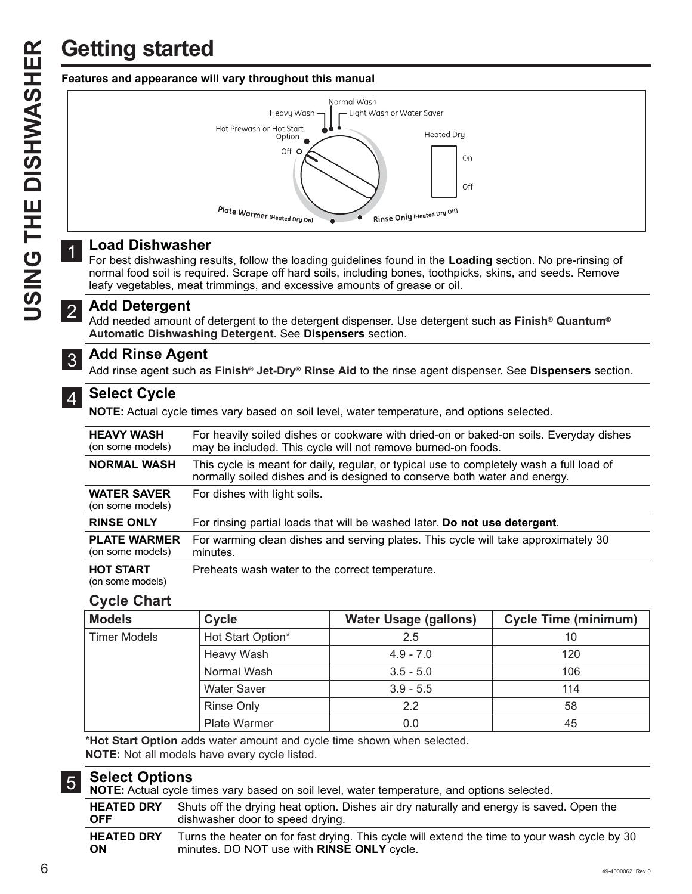

## **Load Dishwasher**

For best dishwashing results, follow the loading guidelines found in the **Loading** section. No pre-rinsing of normal food soil is required. Scrape off hard soils, including bones, toothpicks, skins, and seeds. Remove leafy vegetables, meat trimmings, and excessive amounts of grease or oil.

## **Add Detergent** 2

Add needed amount of detergent to the detergent dispenser. Use detergent such as **Finish® Quantum® Automatic Dishwashing Detergent**. See **Dispensers** section.

### **Add Rinse Agent** 3

Add rinse agent such as **Finish® Jet-Dry® Rinse Aid** to the rinse agent dispenser. See **Dispensers** section.

## **Select Cycle**

**NOTE:** Actual cycle times vary based on soil level, water temperature, and options selected.

| <b>HEAVY WASH</b><br>(on some models)   | For heavily soiled dishes or cookware with dried-on or baked-on soils. Everyday dishes<br>may be included. This cycle will not remove burned-on foods.                |
|-----------------------------------------|-----------------------------------------------------------------------------------------------------------------------------------------------------------------------|
| <b>NORMAL WASH</b>                      | This cycle is meant for daily, regular, or typical use to completely wash a full load of<br>normally soiled dishes and is designed to conserve both water and energy. |
| <b>WATER SAVER</b><br>(on some models)  | For dishes with light soils.                                                                                                                                          |
| <b>RINSE ONLY</b>                       | For rinsing partial loads that will be washed later. Do not use detergent.                                                                                            |
| <b>PLATE WARMER</b><br>(on some models) | For warming clean dishes and serving plates. This cycle will take approximately 30<br>minutes.                                                                        |
| <b>HOT START</b><br>(on some models)    | Preheats wash water to the correct temperature.                                                                                                                       |

## **Cycle Chart**

| <b>Models</b>       | <b>Cycle</b>       | <b>Water Usage (gallons)</b> | <b>Cycle Time (minimum)</b> |
|---------------------|--------------------|------------------------------|-----------------------------|
| <b>Timer Models</b> | Hot Start Option*  | 2.5                          | 10                          |
|                     | Heavy Wash         | $4.9 - 7.0$                  | 120                         |
|                     | Normal Wash        | $3.5 - 5.0$                  | 106                         |
|                     | <b>Water Saver</b> | $3.9 - 5.5$                  | 114                         |
|                     | <b>Rinse Only</b>  | 22                           | 58                          |
|                     | Plate Warmer       | 0.0                          | 45                          |

\***Hot Start Option** adds water amount and cycle time shown when selected. **NOTE:** Not all models have every cycle listed.

### **Select Options** 5

**NOTE:** Actual cycle times vary based on soil level, water temperature, and options selected.

| <b>HEATED DRY</b> | Shuts off the drying heat option. Dishes air dry naturally and energy is saved. Open the      |
|-------------------|-----------------------------------------------------------------------------------------------|
| <b>OFF</b>        | dishwasher door to speed drying.                                                              |
| <b>HEATED DRY</b> | Turns the heater on for fast drying. This cycle will extend the time to your wash cycle by 30 |
| ON                | minutes. DO NOT use with RINSE ONLY cycle.                                                    |

1

4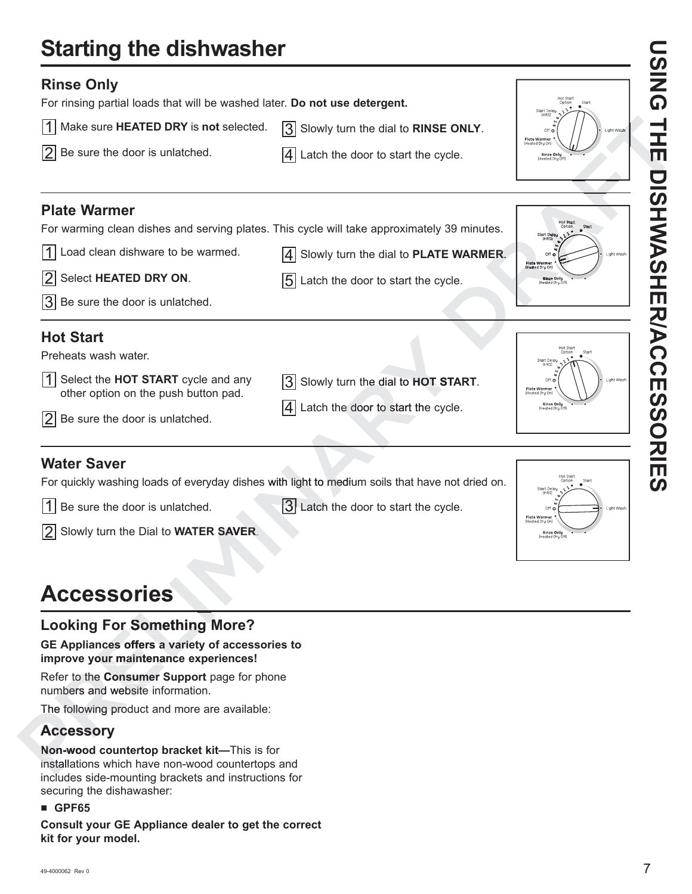# **Starting the dishwasher**

| <b>Rinse Only</b><br>For rinsing partial loads that will be washed later. Do not use detergent.                                                                                                                                         |                                                                                                                                         |                                                                                       | ັ<br>ຈ                  |
|-----------------------------------------------------------------------------------------------------------------------------------------------------------------------------------------------------------------------------------------|-----------------------------------------------------------------------------------------------------------------------------------------|---------------------------------------------------------------------------------------|-------------------------|
| l1l<br>Make sure HEATED DRY is not selected.                                                                                                                                                                                            | 3 Slowly turn the dial to RINSE ONLY.                                                                                                   | Start Delay<br>Off c<br>ght Wash                                                      |                         |
| 2 <br>Be sure the door is unlatched.                                                                                                                                                                                                    | $ 4 $ Latch the door to start the cycle.                                                                                                | Plate Warme<br><b>Rinse Onlu</b><br><b>IHented Onu</b>                                | $\overline{\mathbf{u}}$ |
| <b>Plate Warmer</b><br>For warming clean dishes and serving plates. This cycle will take approximately 39 minutes.<br>Load clean dishware to be warmed.<br>l1 I<br> 2 <br>Select HEATED DRY ON.<br>$ 3 $ Be sure the door is unlatched. | Slowly turn the dial to PLATE WARMER.<br>14 I<br> 5 <br>Latch the door to start the cycle.                                              | Start Dela<br>ght Wash<br><b>Plate Warmer</b><br>(Heated Dry Onl<br><b>Rinse Only</b> | <b>ISHWASHER/ACC</b>    |
| <b>Hot Start</b><br>Preheats wash water.<br>1 <sup>1</sup><br>Select the HOT START cycle and any<br>other option on the push button pad.<br> 2 <br>Be sure the door is unlatched.                                                       | Slowly turn the dial to HOT START.<br> 3 <br>Latch the door to start the cycle.<br>14 I                                                 | ight Was<br>Plate Warmer<br>Rinse Only                                                | Ш<br><b>SSORIE</b>      |
| <b>Water Saver</b><br>$ 1 $ Be sure the door is unlatched.<br>2 Slowly turn the Dial to WATER SAVER.                                                                                                                                    | For quickly washing loads of everyday dishes with light to medium soils that have not dried on.<br>3 Latch the door to start the cycle. | Start Dela<br>$Off$ $c$<br><b>Plate Warm</b><br>Heated Dry C<br>Rinse Onli            | <u>(၇</u>               |
| <b>Accessories</b>                                                                                                                                                                                                                      |                                                                                                                                         |                                                                                       |                         |
| <b>Looking For Something More?</b><br>GE Appliances offers a variety of accessories to<br>improvo vojir mojntononog ovnorjanogal                                                                                                        |                                                                                                                                         |                                                                                       |                         |

## **Looking For Something More?**

# GE Appliances offers a variety of accessories to **improve your maintenance experiences! ries**<br>Something I<br>Fers a variety of

Refer to the **Consumer Support** page for phone **Consumer** numbers and website information.

The following product and more are available:

## **Accessory Accesso**

**Non-wood countertop bracket kit-This is for** installations which have non-wood countertops and includes side-mounting brackets and instructions for securing the dishawasher: **Accessories**<br>
Looking For Something M<br>
GE Appliances offers a variety of<br>
improve your maintenance experience<br>
Refer to the Consumer Support pa<br>
numbers and website information.<br>
The following product and more are<br> **Acces** 

## $\blacksquare$  **GPF65**

**Consult your GE Appliance dealer to get the correct kit for your model.**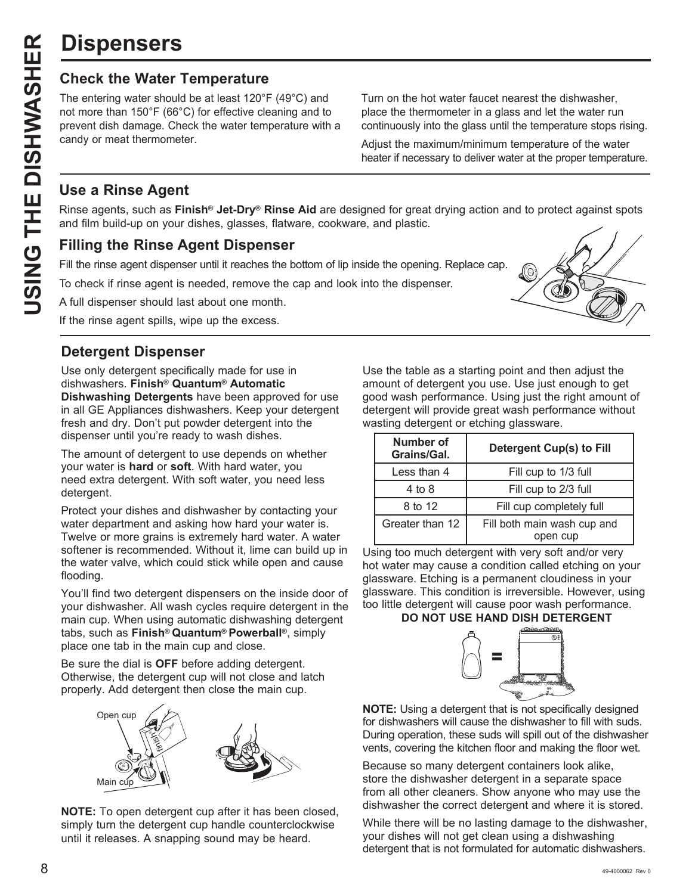# **Dispensers**

**USPENSETS**<br>
Check the Water Temperature<br>
The entering water should be at least 120°F<br>
not more than 150°F (66°C) for effective cle<br>
candy or meat thermometer.<br>
Use a Rinse Agent<br>
Rinse agents, such as Finish® Jet-Dry® F<br> The entering water should be at least 120°F (49°C) and not more than 150°F (66°C) for effective cleaning and to prevent dish damage. Check the water temperature with a candy or meat thermometer.

Turn on the hot water faucet nearest the dishwasher, place the thermometer in a glass and let the water run continuously into the glass until the temperature stops rising.

Adjust the maximum/minimum temperature of the water heater if necessary to deliver water at the proper temperature.

## **Use a Rinse Agent**

Rinse agents, such as **Finish® Jet-Dry® Rinse Aid** are designed for great drying action and to protect against spots and film build-up on your dishes, glasses, flatware, cookware, and plastic.

## **Filling the Rinse Agent Dispenser**

Fill the rinse agent dispenser until it reaches the bottom of lip inside the opening. Replace cap.

To check if rinse agent is needed, remove the cap and look into the dispenser.

A full dispenser should last about one month.

If the rinse agent spills, wipe up the excess.

## **Detergent Dispenser**

Use only detergent specifically made for use in dishwashers. **Finish® Quantum® Automatic Dishwashing Detergents** have been approved for use in all GE Appliances dishwashers. Keep your detergent fresh and dry. Don't put powder detergent into the dispenser until you're ready to wash dishes.

The amount of detergent to use depends on whether your water is **hard** or **soft**. With hard water, you need extra detergent. With soft water, you need less detergent.

Protect your dishes and dishwasher by contacting your water department and asking how hard your water is. Twelve or more grains is extremely hard water. A water softener is recommended. Without it, lime can build up in the water valve, which could stick while open and cause flooding.

You'll find two detergent dispensers on the inside door of your dishwasher. All wash cycles require detergent in the main cup. When using automatic dishwashing detergent tabs, such as **Finish® Quantum® Powerball®**, simply place one tab in the main cup and close.

Be sure the dial is **OFF** before adding detergent. Otherwise, the detergent cup will not close and latch properly. Add detergent then close the main cup.



**NOTE:** To open detergent cup after it has been closed, simply turn the detergent cup handle counterclockwise until it releases. A snapping sound may be heard.

Use the table as a starting point and then adjust the amount of detergent you use. Use just enough to get good wash performance. Using just the right amount of detergent will provide great wash performance without wasting detergent or etching glassware.

| <b>Number of</b><br>Grains/Gal. | Detergent Cup(s) to Fill                |
|---------------------------------|-----------------------------------------|
| Less than 4                     | Fill cup to 1/3 full                    |
| 4 to 8                          | Fill cup to 2/3 full                    |
| 8 to 12                         | Fill cup completely full                |
| Greater than 12                 | Fill both main wash cup and<br>open cup |

Using too much detergent with very soft and/or very hot water may cause a condition called etching on your glassware. Etching is a permanent cloudiness in your glassware. This condition is irreversible. However, using too little detergent will cause poor wash performance.

## **DO NOT USE HAND DISH DETERGENT**



**NOTE:** Using a detergent that is not specifically designed for dishwashers will cause the dishwasher to fill with suds. During operation, these suds will spill out of the dishwasher vents, covering the kitchen floor and making the floor wet.

Because so many detergent containers look alike, store the dishwasher detergent in a separate space from all other cleaners. Show anyone who may use the dishwasher the correct detergent and where it is stored.

While there will be no lasting damage to the dishwasher, your dishes will not get clean using a dishwashing detergent that is not formulated for automatic dishwashers.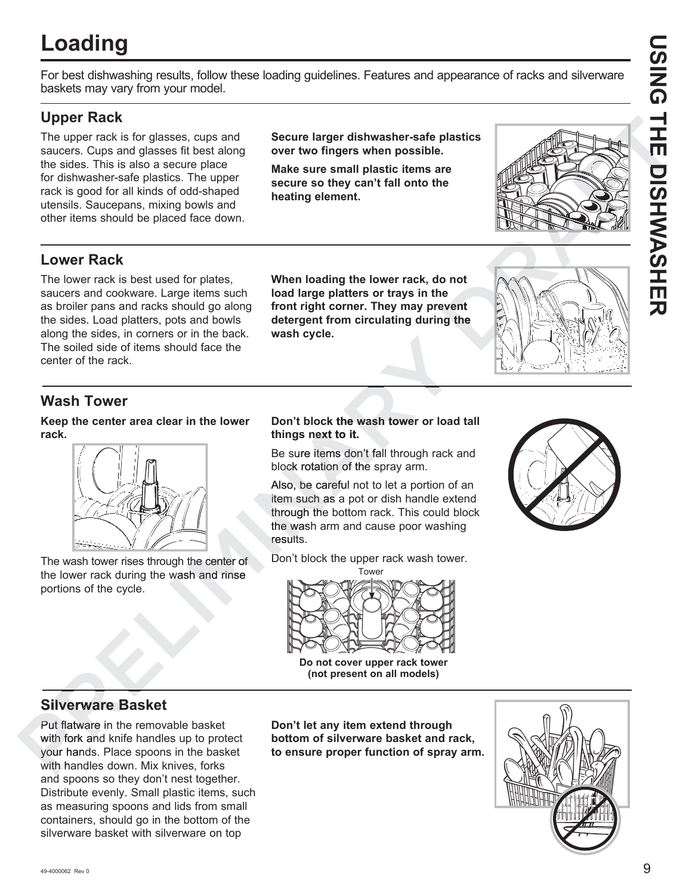# **Loading**

For best dishwashing results, follow these loading guidelines. Features and appearance of racks and silverware baskets may vary from your model.

## **Upper Rack**

The upper rack is for glasses, cups and saucers. Cups and glasses fit best along the sides. This is also a secure place for dishwasher-safe plastics. The upper rack is good for all kinds of odd-shaped utensils. Saucepans, mixing bowls and other items should be placed face down. **Secure larger dishwasher-safe plastics over two fingers when possible.**

**Make sure small plastic items are secure so they can't fall onto the heating element.**



## **Lower Rack**

The lower rack is best used for plates, saucers and cookware. Large items such as broiler pans and racks should go along the sides. Load platters, pots and bowls along the sides, in corners or in the back. The soiled side of items should face the center of the rack. The reaction of the distinct of the studient of the studient of the studient of the studient of the studient of the studients of the studients of the studients of the studients of the studients of the studients of the stud

**When loading the lower rack, do not load large platters or trays in the**  front right corner. They may prevent **detergent from circulating during the wash cycle.**



## **Wash Tower**

**Keep the center area clear in the lower rack.**



The wash tower rises through the center of the lower rack during the wash and rinse portions of the cycle. the center of<br>the center of<br>sh and rinse

## **Don't block the wash tower or load tall k tower e things next to it. t**

Be sure items don't fall through rack and block rotation of the spray arm.

Also, be careful not to let a portion of an item such as a pot or dish handle extend through the bottom rack. This could block the wash arm and cause poor washing results. result

Don't block the upper rack wash tower. D





**Do not cover upper rack tower (not present on all models)**

## **Silverware Basket**

Put flatware in the removable basket with fork and knife handles up to protect your hands. Place spoons in the basket with handles down. Mix knives, forks h and spoons so they don't nest together. Distribute evenly. Small plastic items, such as measuring spoons and lids from small containers, should go in the bottom of the silverware basket with silverware on top **bottom of silverware basket**<br> **bottom of the signal models)**<br> **bottom of silverware means and models**<br> **bottom of silverware of the silverware basket**<br>
Put flatware in the removable basket<br>
With fork and knife handles up

**Don't let any item extend through to ensure proper function of spray arm.**

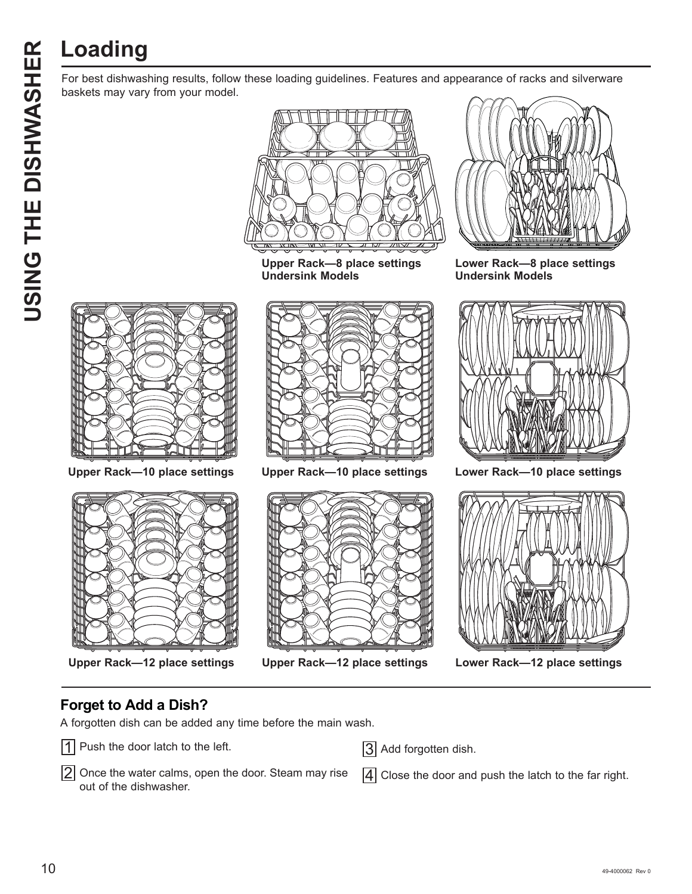For best dishwashing results, follow these loading guidelines. Features and appearance of racks and silverware baskets may vary from your model.



**Upper Rack—8 place settings Undersink Models**



**Lower Rack—8 place settings Undersink Models**









**Upper Rack—12 place settings Upper Rack—12 place settings Lower Rack—12 place settings**



A forgotten dish can be added any time before the main wash.



- 1 Push the door latch to the left.
- $|2|$  Once the water calms, open the door. Steam may rise out of the dishwasher.
- 3 Add forgotten dish.

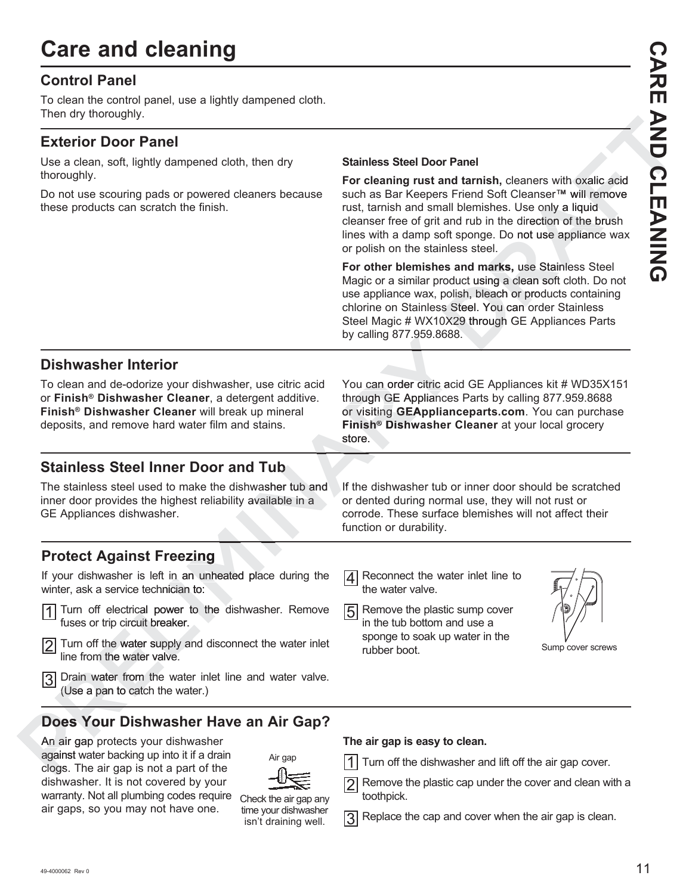# **Care and cleaning**

## **Control Panel**

To clean the control panel, use a lightly dampened cloth. Then dry thoroughly.

## **Exterior Door Panel**

Use a clean, soft, lightly dampened cloth, then dry thoroughly.

Do not use scouring pads or powered cleaners because these products can scratch the finish.

## **Stainless Steel Door Panel**

For cleaning rust and tarnish, cleaners with oxalic acid such as Bar Keepers Friend Soft Cleanser™ will remove rust, tarnish and small blemishes. Use only a liquid cleanser free of grit and rub in the direction of the brush lines with a damp soft sponge. Do not use appliance wax or polish on the stainless steel.

For other blemishes and marks, use Stainless Steel Magic or a similar product using a clean soft cloth. Do not use appliance wax, polish, bleach or products containing chlorine on Stainless Steel. You can order Stainless Steel Magic # WX10X29 through GE Appliances Parts by calling 877.959.8688. 95 **Previous Process**<br> **Previous Previous Previous Previous Previous Previous Previous Previous Previous All blemishes. Use only a liquid<br>
and rub in the direction of the brush<br>
oft sponge. Do not use appliance wax<br>
nless st** douct using a coolish, bleach of<br>polish, bleach of<br>polished Steel. You ca<br>0X29 through C<br>688. lish, bleach or prod

## **Dishwasher Interior**

To clean and de-odorize your dishwasher, use citric acid or **Finish® Dishwasher Cleaner**, a detergent additive. **Finish® Dishwasher Cleaner** will break up mineral deposits, and remove hard water film and stains.

## **Stainless Steel Inner Door and Tub**

The stainless steel used to make the dishwasher tub and inner door provides the highest reliability available in a GE Appliances dishwasher. Finish<br>store.<br>**d Tub**<br>washer tub and If the d<br>available in a or dent

You can order citric acid GE Appliances kit # WD35X151 through GE Appliances Parts by calling 877.959.8688 or visiting **GEApplianceparts.com**. You can purchase **Finish® Dishwasher Cleaner** at your local grocery **Finish ® Dishw** store. **Dishwasher Interior**<br>
To clean and de-odorize your dishwasher, use citic acid<br>
or Finish<sup>4</sup> Dishwasher Cleaner, a determind diffuse the properties call<br>
or Sithing 19 EA Appliances Risk by calling 87.59.8888<br>
Finish<sup>4</sup> D bu can order citric actrough GE Appliances<br>visiting **GEAppliances**<br>**nish® Dishwasher** ig o*r i*.sos.ooce<br>
and order citric acid<br>
GE Appliances<br>
GE Appliances

If the dishwasher tub or inner door should be scratched or dented during normal use, they will not rust or corrode. These surface blemishes will not affect their function or durability.

## **Protect Against Freezing zing**

If your dishwasher is left in an unheated place during the winter, ask a service technician to: **zing**<br>
an unheated place of<br>
a to: n an unheated pla

- 1 Turn off electrical power to the dishwasher. Remove fuses or trip circuit breaker.
- $\frac{1}{2}$  fuses or trip circuit breaker.<br> $\frac{1}{2}$  Turn off the water supply and disconnect the water inlet line from the water valve.
- 3 Drain water from the water inlet line and water valve.<br>
(Use a pan to catch the water.)<br> **Does Your Dishwasher Have an Air Gap?**<br>
An air gap protects your dishwasher<br>
against water backing up into it if a drain<br>
clogs. T (Use a pan to catch the water.)

## **Does Your Dishwasher Have an Air Gap? Yo**

An air gap protects your dishwasher against water backing up into it if a drain clogs. The air gap is not a part of the clogs dishwasher. It is not covered by your warranty. Not all plumbing codes require <sub>Ch</sub> air gaps, so you may not have one.

| 一概<br>$\leq$          |
|-----------------------|
| Check the air gap any |
| time your dishwasher  |
| isn't draining well.  |

Air gap

## **The air gap is easy to clean.**

Turn off the dishwasher and lift off the air gap cover.

 $\boxed{4}$  Reconnect the water inlet line to

5 Remove the plastic sump cover in the tub bottom and use a sponge to soak up water in the

the water valve.

rubber boot.

 $\boxed{2}$  Remove the plastic cap under the cover and clean with a toothpick.

 $\boxed{3}$  Replace the cap and cover when the air gap is clean.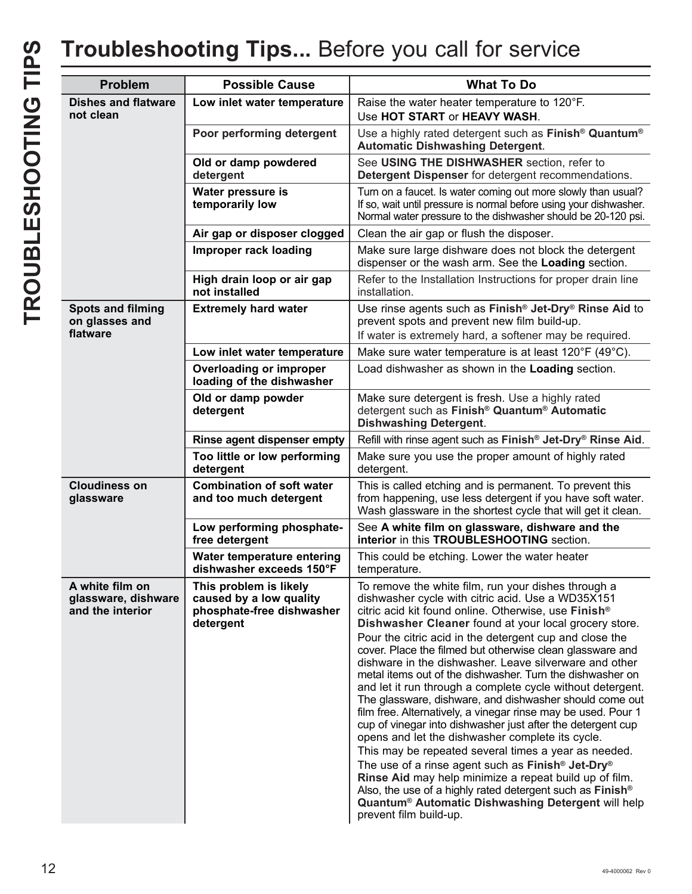| <b>Problem</b>                                             | <b>Possible Cause</b>                                                                       | <b>What To Do</b>                                                                                                                                                                                                                                                                                                                                                                                                                                                                                                                                                                                                                                                                                                                                                                                                                                                                                                                                                                                                                                                                                                                                         |
|------------------------------------------------------------|---------------------------------------------------------------------------------------------|-----------------------------------------------------------------------------------------------------------------------------------------------------------------------------------------------------------------------------------------------------------------------------------------------------------------------------------------------------------------------------------------------------------------------------------------------------------------------------------------------------------------------------------------------------------------------------------------------------------------------------------------------------------------------------------------------------------------------------------------------------------------------------------------------------------------------------------------------------------------------------------------------------------------------------------------------------------------------------------------------------------------------------------------------------------------------------------------------------------------------------------------------------------|
| <b>Dishes and flatware</b><br>not clean                    | Low inlet water temperature                                                                 | Raise the water heater temperature to 120°F.<br>Use HOT START or HEAVY WASH.                                                                                                                                                                                                                                                                                                                                                                                                                                                                                                                                                                                                                                                                                                                                                                                                                                                                                                                                                                                                                                                                              |
|                                                            | Poor performing detergent                                                                   | Use a highly rated detergent such as Finish <sup>®</sup> Quantum <sup>®</sup><br><b>Automatic Dishwashing Detergent.</b>                                                                                                                                                                                                                                                                                                                                                                                                                                                                                                                                                                                                                                                                                                                                                                                                                                                                                                                                                                                                                                  |
|                                                            | Old or damp powdered<br>detergent                                                           | See USING THE DISHWASHER section, refer to<br>Detergent Dispenser for detergent recommendations.                                                                                                                                                                                                                                                                                                                                                                                                                                                                                                                                                                                                                                                                                                                                                                                                                                                                                                                                                                                                                                                          |
|                                                            | Water pressure is<br>temporarily low                                                        | Turn on a faucet. Is water coming out more slowly than usual?<br>If so, wait until pressure is normal before using your dishwasher.<br>Normal water pressure to the dishwasher should be 20-120 psi.                                                                                                                                                                                                                                                                                                                                                                                                                                                                                                                                                                                                                                                                                                                                                                                                                                                                                                                                                      |
|                                                            | Air gap or disposer clogged                                                                 | Clean the air gap or flush the disposer.                                                                                                                                                                                                                                                                                                                                                                                                                                                                                                                                                                                                                                                                                                                                                                                                                                                                                                                                                                                                                                                                                                                  |
|                                                            | Improper rack loading                                                                       | Make sure large dishware does not block the detergent<br>dispenser or the wash arm. See the Loading section.                                                                                                                                                                                                                                                                                                                                                                                                                                                                                                                                                                                                                                                                                                                                                                                                                                                                                                                                                                                                                                              |
|                                                            | High drain loop or air gap<br>not installed                                                 | Refer to the Installation Instructions for proper drain line<br>installation.                                                                                                                                                                                                                                                                                                                                                                                                                                                                                                                                                                                                                                                                                                                                                                                                                                                                                                                                                                                                                                                                             |
| <b>Spots and filming</b><br>on glasses and<br>flatware     | <b>Extremely hard water</b>                                                                 | Use rinse agents such as Finish <sup>®</sup> Jet-Dry <sup>®</sup> Rinse Aid to<br>prevent spots and prevent new film build-up.<br>If water is extremely hard, a softener may be required.                                                                                                                                                                                                                                                                                                                                                                                                                                                                                                                                                                                                                                                                                                                                                                                                                                                                                                                                                                 |
|                                                            | Low inlet water temperature                                                                 | Make sure water temperature is at least 120°F (49°C).                                                                                                                                                                                                                                                                                                                                                                                                                                                                                                                                                                                                                                                                                                                                                                                                                                                                                                                                                                                                                                                                                                     |
|                                                            | Overloading or improper<br>loading of the dishwasher                                        | Load dishwasher as shown in the Loading section.                                                                                                                                                                                                                                                                                                                                                                                                                                                                                                                                                                                                                                                                                                                                                                                                                                                                                                                                                                                                                                                                                                          |
|                                                            | Old or damp powder<br>detergent                                                             | Make sure detergent is fresh. Use a highly rated<br>detergent such as Finish <sup>®</sup> Quantum <sup>®</sup> Automatic<br><b>Dishwashing Detergent.</b>                                                                                                                                                                                                                                                                                                                                                                                                                                                                                                                                                                                                                                                                                                                                                                                                                                                                                                                                                                                                 |
|                                                            | Rinse agent dispenser empty                                                                 | Refill with rinse agent such as Finish <sup>®</sup> Jet-Dry <sup>®</sup> Rinse Aid.                                                                                                                                                                                                                                                                                                                                                                                                                                                                                                                                                                                                                                                                                                                                                                                                                                                                                                                                                                                                                                                                       |
|                                                            | Too little or low performing<br>detergent                                                   | Make sure you use the proper amount of highly rated<br>detergent.                                                                                                                                                                                                                                                                                                                                                                                                                                                                                                                                                                                                                                                                                                                                                                                                                                                                                                                                                                                                                                                                                         |
| <b>Cloudiness on</b><br>glassware                          | <b>Combination of soft water</b><br>and too much detergent                                  | This is called etching and is permanent. To prevent this<br>from happening, use less detergent if you have soft water.<br>Wash glassware in the shortest cycle that will get it clean.                                                                                                                                                                                                                                                                                                                                                                                                                                                                                                                                                                                                                                                                                                                                                                                                                                                                                                                                                                    |
|                                                            | Low performing phosphate-<br>free detergent                                                 | See A white film on glassware, dishware and the<br>interior in this TROUBLESHOOTING section.                                                                                                                                                                                                                                                                                                                                                                                                                                                                                                                                                                                                                                                                                                                                                                                                                                                                                                                                                                                                                                                              |
|                                                            | Water temperature entering<br>dishwasher exceeds 150°F                                      | This could be etching. Lower the water heater<br>temperature.                                                                                                                                                                                                                                                                                                                                                                                                                                                                                                                                                                                                                                                                                                                                                                                                                                                                                                                                                                                                                                                                                             |
| A white film on<br>glassware, dishware<br>and the interior | This problem is likely<br>caused by a low quality<br>phosphate-free dishwasher<br>detergent | To remove the white film, run your dishes through a<br>dishwasher cycle with citric acid. Use a WD35X151<br>citric acid kit found online. Otherwise, use Finish <sup>®</sup><br>Dishwasher Cleaner found at your local grocery store.<br>Pour the citric acid in the detergent cup and close the<br>cover. Place the filmed but otherwise clean glassware and<br>dishware in the dishwasher. Leave silverware and other<br>metal items out of the dishwasher. Turn the dishwasher on<br>and let it run through a complete cycle without detergent.<br>The glassware, dishware, and dishwasher should come out<br>film free. Alternatively, a vinegar rinse may be used. Pour 1<br>cup of vinegar into dishwasher just after the detergent cup<br>opens and let the dishwasher complete its cycle.<br>This may be repeated several times a year as needed.<br>The use of a rinse agent such as Finish <sup>®</sup> Jet-Dry <sup>®</sup><br>Rinse Aid may help minimize a repeat build up of film.<br>Also, the use of a highly rated detergent such as Finish <sup>®</sup><br>Quantum® Automatic Dishwashing Detergent will help<br>prevent film build-up. |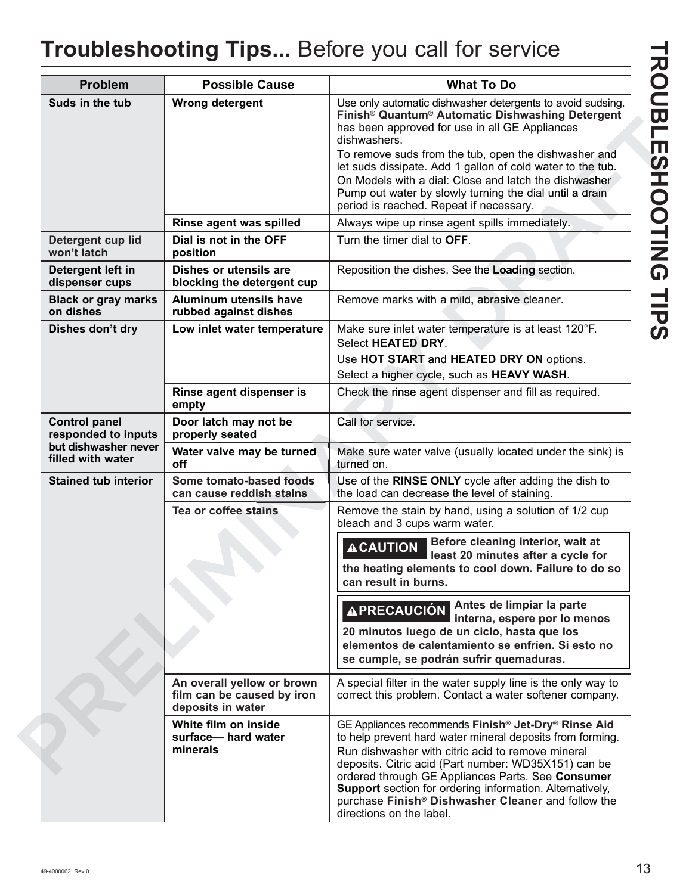| <b>Problem</b>                              | <b>Possible Cause</b>                                                         | <b>What To Do</b>                                                                                                                                                                                                                                                                                                                                                                                                                                                           |
|---------------------------------------------|-------------------------------------------------------------------------------|-----------------------------------------------------------------------------------------------------------------------------------------------------------------------------------------------------------------------------------------------------------------------------------------------------------------------------------------------------------------------------------------------------------------------------------------------------------------------------|
| Suds in the tub                             | Wrong detergent                                                               | Use only automatic dishwasher detergents to avoid sudsing.<br>Finish <sup>®</sup> Quantum <sup>®</sup> Automatic Dishwashing Detergent<br>has been approved for use in all GE Appliances<br>dishwashers.<br>To remove suds from the tub, open the dishwasher and                                                                                                                                                                                                            |
|                                             |                                                                               | let suds dissipate. Add 1 gallon of cold water to the tub.<br>On Models with a dial: Close and latch the dishwasher.<br>Pump out water by slowly turning the dial until a drain                                                                                                                                                                                                                                                                                             |
|                                             | Rinse agent was spilled                                                       | period is reached. Repeat if necessary.<br>Always wipe up rinse agent spills immediately.                                                                                                                                                                                                                                                                                                                                                                                   |
| Detergent cup lid<br>won't latch            | Dial is not in the OFF<br>position                                            | Turn the timer dial to OFF.                                                                                                                                                                                                                                                                                                                                                                                                                                                 |
| Detergent left in<br>dispenser cups         | Dishes or utensils are<br>blocking the detergent cup                          | Reposition the dishes. See the Loading section.                                                                                                                                                                                                                                                                                                                                                                                                                             |
| <b>Black or gray marks</b><br>on dishes     | Aluminum utensils have<br>rubbed against dishes                               | Remove marks with a mild, abrasive cleaner.                                                                                                                                                                                                                                                                                                                                                                                                                                 |
| Dishes don't dry                            | Low inlet water temperature                                                   | Make sure inlet water temperature is at least 120°F.<br>Select HEATED DRY.                                                                                                                                                                                                                                                                                                                                                                                                  |
|                                             |                                                                               | Use HOT START and HEATED DRY ON options.<br>Select a higher cycle, such as HEAVY WASH.                                                                                                                                                                                                                                                                                                                                                                                      |
|                                             | Rinse agent dispenser is<br>empty                                             | Check the rinse agent dispenser and fill as required.                                                                                                                                                                                                                                                                                                                                                                                                                       |
| <b>Control panel</b><br>responded to inputs | Door latch may not be<br>properly seated                                      | Call for service.                                                                                                                                                                                                                                                                                                                                                                                                                                                           |
| but dishwasher never<br>filled with water   | Water valve may be turned<br>off                                              | Make sure water valve (usually located under the sink) is<br>turned on.                                                                                                                                                                                                                                                                                                                                                                                                     |
| <b>Stained tub interior</b>                 | Some tomato-based foods<br>can cause reddish stains                           | Use of the RINSE ONLY cycle after adding the dish to<br>the load can decrease the level of staining.                                                                                                                                                                                                                                                                                                                                                                        |
|                                             | Tea or coffee stains                                                          | Remove the stain by hand, using a solution of 1/2 cup<br>bleach and 3 cups warm water.                                                                                                                                                                                                                                                                                                                                                                                      |
|                                             |                                                                               | Before cleaning interior, wait at<br><b>ACAUTION</b><br>least 20 minutes after a cycle for<br>the heating elements to cool down. Failure to do so<br>can result in burns.                                                                                                                                                                                                                                                                                                   |
|                                             |                                                                               | APRECAUCIÓN Antes de limpiar la parte<br>interna, espere por lo menos<br>20 minutos luego de un ciclo, hasta que los<br>elementos de calentamiento se enfríen. Si esto no<br>se cumple, se podrán sufrir quemaduras.                                                                                                                                                                                                                                                        |
|                                             | An overall yellow or brown<br>film can be caused by iron<br>deposits in water | A special filter in the water supply line is the only way to<br>correct this problem. Contact a water softener company.                                                                                                                                                                                                                                                                                                                                                     |
|                                             | White film on inside<br>surface-hard water<br>minerals                        | GE Appliances recommends Finish <sup>®</sup> Jet-Dry <sup>®</sup> Rinse Aid<br>to help prevent hard water mineral deposits from forming.<br>Run dishwasher with citric acid to remove mineral<br>deposits. Citric acid (Part number: WD35X151) can be<br>ordered through GE Appliances Parts. See Consumer<br><b>Support</b> section for ordering information. Alternatively,<br>purchase Finish <sup>®</sup> Dishwasher Cleaner and follow the<br>directions on the label. |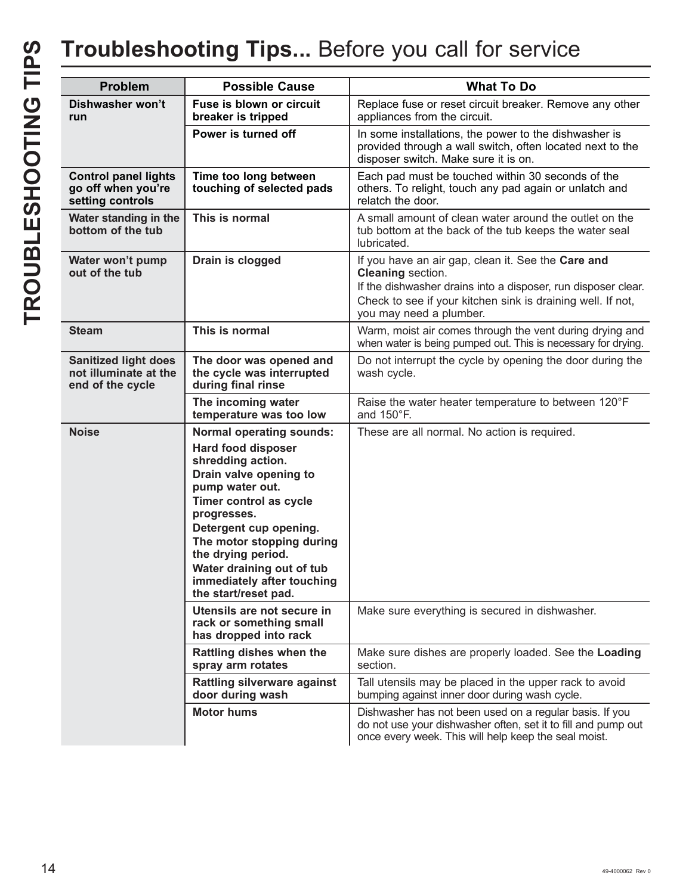| <b>Problem</b>                                                           | <b>Possible Cause</b>                                                                                                                                                                                                                                                                                                                   | <b>What To Do</b>                                                                                                                                                                                                                         |
|--------------------------------------------------------------------------|-----------------------------------------------------------------------------------------------------------------------------------------------------------------------------------------------------------------------------------------------------------------------------------------------------------------------------------------|-------------------------------------------------------------------------------------------------------------------------------------------------------------------------------------------------------------------------------------------|
|                                                                          |                                                                                                                                                                                                                                                                                                                                         |                                                                                                                                                                                                                                           |
| Dishwasher won't<br>run                                                  | Fuse is blown or circuit<br>breaker is tripped                                                                                                                                                                                                                                                                                          | Replace fuse or reset circuit breaker. Remove any other<br>appliances from the circuit.                                                                                                                                                   |
|                                                                          | Power is turned off                                                                                                                                                                                                                                                                                                                     | In some installations, the power to the dishwasher is<br>provided through a wall switch, often located next to the<br>disposer switch. Make sure it is on.                                                                                |
| <b>Control panel lights</b><br>go off when you're<br>setting controls    | Time too long between<br>touching of selected pads                                                                                                                                                                                                                                                                                      | Each pad must be touched within 30 seconds of the<br>others. To relight, touch any pad again or unlatch and<br>relatch the door.                                                                                                          |
| Water standing in the<br>bottom of the tub                               | This is normal                                                                                                                                                                                                                                                                                                                          | A small amount of clean water around the outlet on the<br>tub bottom at the back of the tub keeps the water seal<br>lubricated.                                                                                                           |
| Water won't pump<br>out of the tub                                       | Drain is clogged                                                                                                                                                                                                                                                                                                                        | If you have an air gap, clean it. See the Care and<br><b>Cleaning</b> section.<br>If the dishwasher drains into a disposer, run disposer clear.<br>Check to see if your kitchen sink is draining well. If not,<br>you may need a plumber. |
| <b>Steam</b>                                                             | This is normal                                                                                                                                                                                                                                                                                                                          | Warm, moist air comes through the vent during drying and<br>when water is being pumped out. This is necessary for drying.                                                                                                                 |
| <b>Sanitized light does</b><br>not illuminate at the<br>end of the cycle | The door was opened and<br>the cycle was interrupted<br>during final rinse                                                                                                                                                                                                                                                              | Do not interrupt the cycle by opening the door during the<br>wash cycle.                                                                                                                                                                  |
|                                                                          | The incoming water<br>temperature was too low                                                                                                                                                                                                                                                                                           | Raise the water heater temperature to between 120°F<br>and 150°F.                                                                                                                                                                         |
| <b>Noise</b>                                                             | <b>Normal operating sounds:</b><br><b>Hard food disposer</b><br>shredding action.<br>Drain valve opening to<br>pump water out.<br>Timer control as cycle<br>progresses.<br>Detergent cup opening.<br>The motor stopping during<br>the drying period.<br>Water draining out of tub<br>immediately after touching<br>the start/reset pad. | These are all normal. No action is required.                                                                                                                                                                                              |
|                                                                          | Utensils are not secure in<br>rack or something small<br>has dropped into rack                                                                                                                                                                                                                                                          | Make sure everything is secured in dishwasher.                                                                                                                                                                                            |
|                                                                          | Rattling dishes when the<br>spray arm rotates                                                                                                                                                                                                                                                                                           | Make sure dishes are properly loaded. See the Loading<br>section.                                                                                                                                                                         |
|                                                                          | <b>Rattling silverware against</b><br>door during wash                                                                                                                                                                                                                                                                                  | Tall utensils may be placed in the upper rack to avoid<br>bumping against inner door during wash cycle.                                                                                                                                   |
|                                                                          | <b>Motor hums</b>                                                                                                                                                                                                                                                                                                                       | Dishwasher has not been used on a regular basis. If you<br>do not use your dishwasher often, set it to fill and pump out<br>once every week. This will help keep the seal moist.                                                          |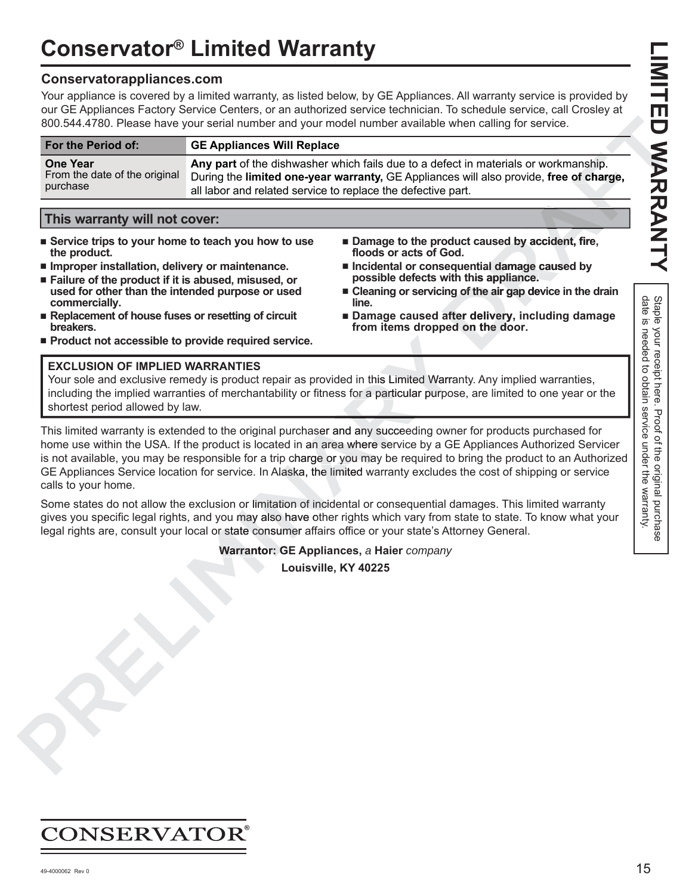# **LIMITED WARRANTY**

# **Conservator® Limited Warranty**

## **Conservatorappliances.com**

Your appliance is covered by a limited warranty, as listed below, by GE Appliances. All warranty service is provided by our GE Appliances Factory Service Centers, or an authorized service technician. To schedule service, call Crosley at 800.544.4780. Please have your serial number and your model number available when calling for service.

|                                                                                                                                                                                                                                      |                                                                                                                                                                                                                                               | 800.544.4780. Please have your serial number and your model number available when calling for service.                                                                                                                             |                                         |
|--------------------------------------------------------------------------------------------------------------------------------------------------------------------------------------------------------------------------------------|-----------------------------------------------------------------------------------------------------------------------------------------------------------------------------------------------------------------------------------------------|------------------------------------------------------------------------------------------------------------------------------------------------------------------------------------------------------------------------------------|-----------------------------------------|
| For the Period of:                                                                                                                                                                                                                   | <b>GE Appliances Will Replace</b>                                                                                                                                                                                                             |                                                                                                                                                                                                                                    |                                         |
| <b>One Year</b><br>From the date of the original<br>purchase                                                                                                                                                                         | Any part of the dishwasher which fails due to a defect in materials or workmanship.<br>During the limited one-year warranty, GE Appliances will also provide, free of charge,<br>all labor and related service to replace the defective part. |                                                                                                                                                                                                                                    |                                         |
| This warranty will not cover:                                                                                                                                                                                                        |                                                                                                                                                                                                                                               |                                                                                                                                                                                                                                    |                                         |
| ■ Service trips to your home to teach you how to use<br>the product.<br>Improper installation, delivery or maintenance.<br>■ Failure of the product if it is abused, misused, or<br>used for other than the intended purpose or used |                                                                                                                                                                                                                                               | ■ Damage to the product caused by accident, fire,<br>floods or acts of God.<br>Incidental or consequential damage caused by<br>possible defects with this appliance.<br>■ Cleaning or servicing of the air gap device in the drain |                                         |
| commercially.<br>Replacement of house fuses or resetting of circuit<br>breakers.<br>Product not accessible to provide required service.                                                                                              |                                                                                                                                                                                                                                               | line.<br>Damage caused after delivery, including damage<br>from items dropped on the door.                                                                                                                                         | Staple<br>date is<br>യ.<br>Xour<br>need |

## **This warranty will not cover:**

- Service trips to your home to teach you how to use **the product.**
- Improper installation, delivery or maintenance.
- Failure of the product if it is abused, misused, or **used for other than the intended purpose or used commercially.**
- Replacement of house fuses or resetting of circuit **breakers.**
- Product not accessible to provide required service.

## **EXCLUSION OF IMPLIED WARRANTIES**

Your sole and exclusive remedy is product repair as provided in this Limited Warranty. Any implied warranties, including the implied warranties of merchantability or fitness for a particular purpose, are limited to one year or the shortest period allowed by law.

This limited warranty is extended to the original purchaser and any succeeding owner for products purchased for home use within the USA. If the product is located in an area where service by a GE Appliances Authorized Servicer is not available, you may be responsible for a trip charge or you may be required to bring the product to an Authorized GE Appliances Service location for service. In Alaska, the limited warranty excludes the cost of shipping or service calls to your home. **EXCLUSION OF IMPLIED WARRANTIES**<br>
Your sole and exclusive remedy is product repair as provided in this Limited Warra<br>
Your sole and exclusive remedy is product repair as provided in this Limited Warra<br>
including the impli ice.<br>
as provided in this Limited Warra<br>
or fitness for a particular purpos<br>
chaser and any succeeding own<br>
in an area where service by a GE<br>
harge or you may be required to<br>
ka, the limited warranty excludes

Some states do not allow the exclusion or limitation of incidental or consequential damages. This limited warranty gives you specific legal rights, and you may also have other rights which vary from state to state. To know what your legal rights are, consult your local or state consumer affairs office or your state's Attorney General.

**Warrantor: GE Appliances,** *a* **Haier** *company* **G**

**Louisville, KY 40225**

# CONSERVATOR